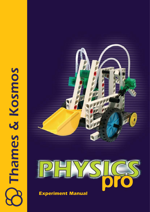# Thames & Kosmos





*Experiment Manual*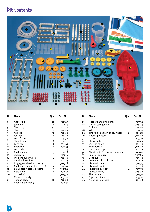# **Kit Contents**



| No.            | Name                         | Qty.                    | Part. No. |
|----------------|------------------------------|-------------------------|-----------|
| ı              | Anchor pin                   | 40                      | 702527    |
| $\overline{2}$ | Joint pin                    | 12                      | 702524    |
| 3              | Shaft plug                   | 30                      | 702525    |
| 4              | Shaft pin                    | $\overline{2}$          | 702526    |
| 5              | Axle lock                    | 12                      | 702813    |
| 6              | Washer                       | 12                      | 703242    |
| 7              | Long frame                   | 4                       | 703239    |
| 8              | Short frame                  | 6                       | 703232    |
| 9              | Long rod                     | 6                       | 703235    |
| 10             | Short rod                    | 6                       | 703233    |
| 11             | Long axle                    | 4                       | 703234    |
| 12             | Medium axle                  | 5                       | 703238    |
| 13             | Short axle                   | $\mathbf{1}$            | 703236    |
| 14             | Medium pulley wheel          | 4                       | 702518    |
| 15             | Small pulley wheel           | 4                       | 702519    |
| 16             | Large gear wheel (60 teeth)  | $\overline{2}$          | 702506    |
| 17             | Medium gear wheel (40 teeth) | 4                       | 702505    |
| 18             | Small gear wheel (20 teeth)  | 7                       | 702504    |
| 19             | Base plate                   | $\overline{2}$          | 703237    |
| 20             | Crankshaft                   | $\overline{\mathbf{c}}$ | 702599    |
| 22             | Connector bridge             | $\overline{2}$          | 703231    |
| 23             | Turbine blade                | 16                      | 702815    |
| 24             | Rubber band (long)           | 1                       | 703241    |

| No. | <b>Name</b>                       | Qty.           | Part. No. |
|-----|-----------------------------------|----------------|-----------|
| 25  | Rubber band (medium)              | ı              | 703374    |
| 26  | Cotton cord (white)               | ı              | 703244    |
| 27  | Balloon                           | ı              | 703531    |
| 28  | Wheel                             | $\overline{2}$ | 703230    |
| 29  | Tire ring (medium pulley wheel)   | $\overline{2}$ | 703251    |
| 30  | Anchor pin lever                  | ٦              | 702590    |
| 31  | Crank                             | $\overline{2}$ | 703377    |
| 32  | Straw (red)                       | $\overline{2}$ | 703513    |
| 33  | Digging shovel                    | 1              | 703514    |
| 34  | Thermometer                       | ı              | 702280    |
| 35  | Measuring cup                     | ı              | 703532    |
| 36  | Plastic strip for clockwork motor | ı              | 703240    |
| 37  | Film for cutouts                  | ı              | 703380    |
| 38  | Boat hull                         | 1              | 703519    |
| 39  | Die-cut cardboard sheet           | ı              | 703522    |
| 40  | Hydraulic pump                    | ı              | 703515    |
| 41  | Hydraulic switch                  | ı              | 703516    |
| 42  | Hydraulic cylinder                | 4              | 703378    |
| 43  | Narrow tubing                     | ı              | 703500    |
| 44  | Thick tubing                      | ı              | 703511    |
| 45  | Experiment book                   | ı              | 703510    |
| 46  | XL (extra long) axle              | 1              | 703518    |

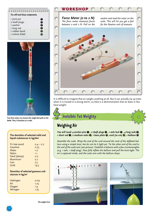### **You will need these components:**

| 1 joint pin    | $\bullet$ |
|----------------|-----------|
| 2 shaft plugs  | 3         |
| 1 washer       | ۰.        |
| 1 long rod     | -91       |
| 1 rubber band  | 24        |
| 1 cutout sheet | 39        |
|                |           |



**Your force meter can measure the weight that pulls on the bottle. Thus, it functions as a scale.**

### **The densities of selected solid and liquid substances in kg/dm3**

| Fir tree wood | $0.4 - 0.7$ |
|---------------|-------------|
| Gasoline      | 0.75        |
| Water         | 1.0         |
| Nylon         | 1.1         |
| Sand (damp)   | 2.0         |
| Aluminum      | 2.7         |
| Iron          | 7.5         |
| Gold          | 19.3        |
|               |             |

### **Densities of selected gaseous substances in kg/m3**

| 0.09 |
|------|
| 1.23 |
| 1.4  |
| 1.25 |
|      |

# WORKSHOP

*Force Meter (0 to 2 N) The force meter measures forces between 0 and 2 N. Pull on the* 

*washer and read the value on the scale. This will let you get a feel for the Newton unit of measure.*



It is difficult to imagine that air weighs anything at all. But it can actually rip up trees when it is moved in a strong storm, so here is a demonstration that air does in fact have weight:

# **4 Invisible Yet Weighty**

## **Weighing Air**

*You will need: 4 anchor pins*  $\bullet$  *, 2 shaft plugs*  $\bullet$  *, 1 axle lock*  $\bullet$  *, 4 long rods*  $\bullet$ *. 1 short rod* **1** *, 2 medium axles* **12** *, 1 base plate* **19** *, cord (20 cm)* **26***, 1 balloon* **27**

*Assemble the scale. Wrap the end of the cord around the neck of the deflated balloon using a simple knot, but do not tie it tight yet. Tie the other end of the cord to the end of the scale arm (see picture). Establish a balance with a few counterweights (e.g. 1 axle, 1 shaft plug). Now fully inflate the balloon and pull the knot tight. The air is captured inside, and the scale arm with the balloon drops.*





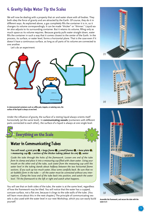### **4. Gravity Helps Water Tip the Scales**

We will now be dealing with a property that air and water share with all bodies. They both obey the force of gravity and are attracted by the Earth. Of course, they do it in different ways. As explained above, a gas completely fills the container it is in, so it changes its volume correspondingly. It can be made "thicker" or "thinner." Liquid water also adjusts to its surrounding container. But it retains its volume, filling only as much space as its volume requires. Because gravity pulls water straight down, water fills the container in such a way that it comes closest to the center of the Earth. In the process, its surface, or water level, forms a horizontal plane. That is the case even if it doesn't have a continuous surface, as long as all parts of its volume are connected to one another.

Let's do an experiment:



**In interconnected containers such as coffee pots, teapots, or watering cans, the surface of the liquid is always at one level.**

Under the influence of gravity, the surface of a resting liquid always orients itself horizontally (at the same level). In **communicating vessels** (containers with different parts connected to each other), the surface of a liquid is always at one single level.

# **5 Everything on the Scale F1**

### **Water in Communicating Tubes**

*You will need: 4 joint pins 4 , 1 large frame 0 <i>, 3 small frames* **0** *, 1 base plate* **0** *, 1 1 measuring cup* **35** *, 1 section of the thicker tubing (about 60 cm)* **35** *, water*

*Guide the tube through the holes of the framework. Loosen one end of the tube*  **L2** from its clamp and place it into a measuring cup filled with clean water. Using your mouth on the other end of the tube, suck water from the measuring cup until the *water level in the tubing stands about halfway between the two horizontal frame*  **lever** *sections. If you suck up too much water, blow some carefully back. Be sure that no air bubbles form in the tube — all the water must be connected without any interruptions. Clamp the loose end of the tube back into position, and watch the water level. Tilt the framework to the left or right and watch what happens.*

You will see that on both sides of the tube, the water is at the same level, regardless **F2** of how the framework may be tilted. You will notice that the water has a cupped, concave surface, not a flat one, because it clings to the side walls of the tube. (You **chic** (3) will learn more about this in the next chapter.) The principle of communicating ves-**L2** sels is also used with the water level in our next Workshop, which you can easily build **F1 L1** yourself.







**Assemble the framework, and secure the tube with the water to it** 

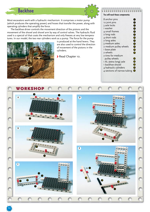

Most excavators work with a hydraulic mechanism. It comprises a motor pump (which produces the operating power) and hoses that transfer the power, along with operating cylinders that amplify the force.

The backhoe driver controls the movement direction of the pistons and the movement of the shovel and shovel arm by way of control valves. The hydraulic fluid used is a special oil that coats the mechanism and only freezes at very low temperatures. In our model, the two rear cylinders work as a pump. The force for the pump



is produced at the hand levers. They are also used to control the direction of movement of the pistons in the cylinders.

**>** Read Chapter 10.

### **You will need these components:**

| 8 anchor pins               | Ò                    |
|-----------------------------|----------------------|
| 12 joint pins               | 0                    |
| 3 axle locks                | 0                    |
| 1 washer                    | $\bullet$            |
| 4 small frames              | 0                    |
| 2 long rods                 | $\ddot{\bm{0}}$      |
| 4 short rods                | $\bullet$            |
| 2 long axles                | $\mathbf 0$          |
| 3 medium axles              | Ø                    |
| 2 medium pulley wheels      | $\mathbf 6$          |
| 1 base plate                | $\ddot{\bm{\theta}}$ |
| 2 wheels                    | 23                   |
| 2 tires for medium          |                      |
| pulley wheels               | 29                   |
| 1 XL (extra long) axle      | 46                   |
| 1 backhoe shovel            | 33                   |
| 4 hydraulic cylinders       | Ø                    |
| 4 sections of narrow tubing | ❸                    |
|                             |                      |